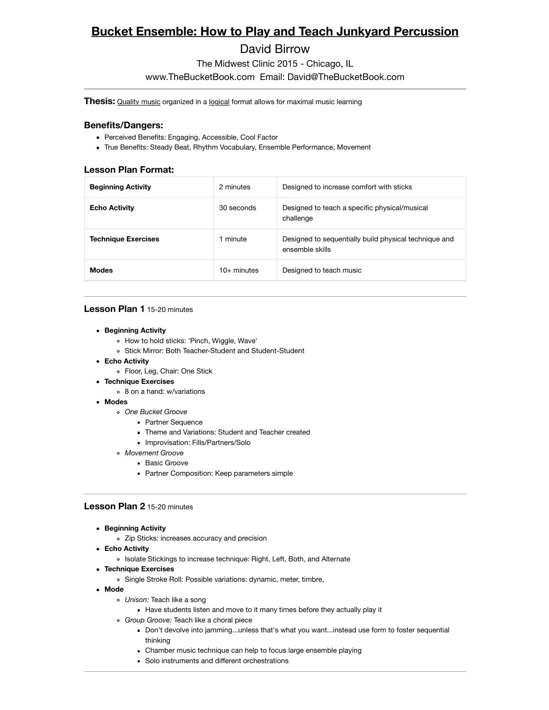# **Bucket Ensemble: How to Play and Teach Junkyard Percussion**

## David Birrow

The Midwest Clinic 2015 - Chicago, IL

www.TheBucketBook.com Email: David@TheBucketBook.com

**Thesis:** Quality music organized in a logical format allows for maximal music learning

#### **Benefits/Dangers:**

- Perceived Benefits: Engaging, Accessible, Cool Factor
- True Benefits: Steady Beat, Rhythm Vocabulary, Ensemble Performance, Movement

#### **Lesson Plan Format:**

| <b>Beginning Activity</b>  | 2 minutes     | Designed to increase comfort with sticks                                 |
|----------------------------|---------------|--------------------------------------------------------------------------|
| <b>Echo Activity</b>       | 30 seconds    | Designed to teach a specific physical/musical<br>challenge               |
| <b>Technique Exercises</b> | 1 minute      | Designed to sequentially build physical technique and<br>ensemble skills |
| <b>Modes</b>               | $10+$ minutes | Designed to teach music                                                  |

#### **Lesson Plan 1** 15-20 minutes

- **Beginning Activity**
	- How to hold sticks: 'Pinch, Wiggle, Wave'
	- Stick Mirror: Both Teacher-Student and Student-Student
- **Echo Activity**
	- Floor, Leg, Chair: One Stick
- **Technique Exercises**
	- 8 on a hand: w/variations
- **Modes**
	- *One Bucket Groove*
		- **Partner Sequence**
		- Theme and Variations: Student and Teacher created
		- **Improvisation: Fills/Partners/Solo**
	- *Movement Groove*
		- **Basic Groove**
		- **Partner Composition: Keep parameters simple**

#### **Lesson Plan 2** 15-20 minutes

- **Beginning Activity**
	- Zip Sticks: increases accuracy and precision
- **Echo Activity**
	- Isolate Stickings to increase technique: Right, Left, Both, and Alternate
- **Technique Exercises**
	- Single Stroke Roll: Possible variations: dynamic, meter, timbre,
- **Mode**
	- *Unison:* Teach like a song
		- Have students listen and move to it many times before they actually play it
	- *Group Groove:* Teach like a choral piece
		- Don't devolve into jamming...unless that's what you want...instead use form to foster sequential thinking
		- Chamber music technique can help to focus large ensemble playing
		- Solo instruments and different orchestrations